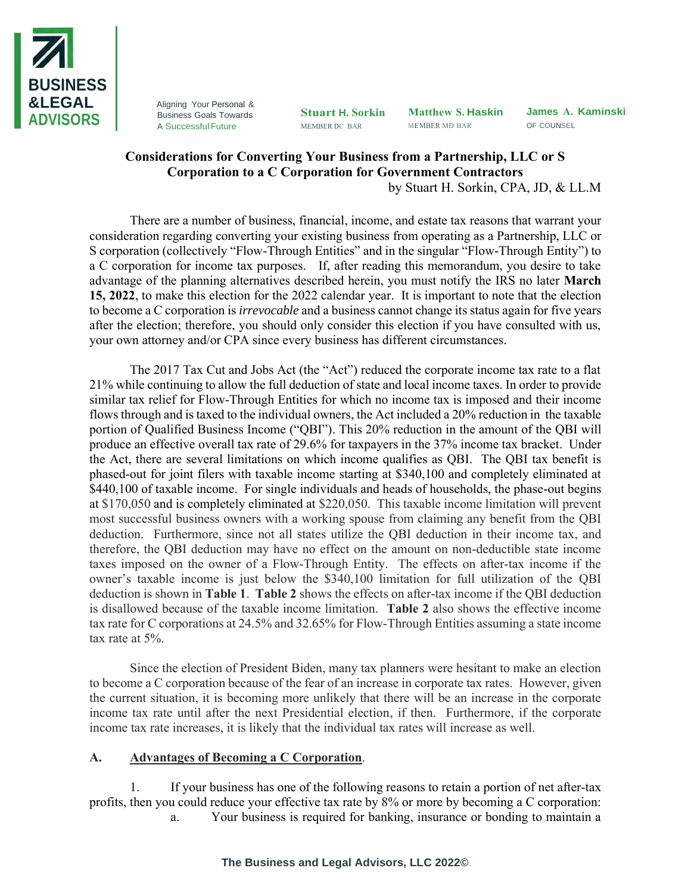

Aligning Your Personal & Business Goals Towards A Successful Future

**Stuart H. Sorkin** MEMBER DC BAR

**Matthew S. Haskin** ME MBER MD BAR

**James A. Kaminski** OF COUNSEL

## **Considerations for Converting Your Business from a Partnership, LLC or S Corporation to a C Corporation for Government Contractors**

by Stuart H. Sorkin, CPA, JD, & LL.M

There are a number of business, financial, income, and estate tax reasons that warrant your consideration regarding converting your existing business from operating as a Partnership, LLC or S corporation (collectively "Flow-Through Entities" and in the singular "Flow-Through Entity") to a C corporation for income tax purposes. If, after reading this memorandum, you desire to take advantage of the planning alternatives described herein, you must notify the IRS no later **March 15, 2022**, to make this election for the 2022 calendar year. It is important to note that the election to become a C corporation is *irrevocable* and a business cannot change its status again for five years after the election; therefore, you should only consider this election if you have consulted with us, your own attorney and/or CPA since every business has different circumstances.

The 2017 Tax Cut and Jobs Act (the "Act") reduced the corporate income tax rate to a flat 21% while continuing to allow the full deduction of state and local income taxes. In order to provide similar tax relief for Flow-Through Entities for which no income tax is imposed and their income flows through and is taxed to the individual owners, the Act included a 20% reduction in the taxable portion of Qualified Business Income ("QBI"). This 20% reduction in the amount of the QBI will produce an effective overall tax rate of 29.6% for taxpayers in the 37% income tax bracket. Under the Act, there are several limitations on which income qualifies as QBI. The QBI tax benefit is phased-out for joint filers with taxable income starting at \$340,100 and completely eliminated at \$440,100 of taxable income. For single individuals and heads of households, the phase-out begins at \$170,050 and is completely eliminated at \$220,050. This taxable income limitation will prevent most successful business owners with a working spouse from claiming any benefit from the QBI deduction. Furthermore, since not all states utilize the QBI deduction in their income tax, and therefore, the QBI deduction may have no effect on the amount on non-deductible state income taxes imposed on the owner of a Flow-Through Entity. The effects on after-tax income if the owner's taxable income is just below the \$340,100 limitation for full utilization of the QBI deduction is shown in **Table 1**. **Table 2** shows the effects on after-tax income if the QBI deduction is disallowed because of the taxable income limitation. **Table 2** also shows the effective income tax rate for C corporations at 24.5% and 32.65% for Flow-Through Entities assuming a state income tax rate at 5%.

Since the election of President Biden, many tax planners were hesitant to make an election to become a C corporation because of the fear of an increase in corporate tax rates. However, given the current situation, it is becoming more unlikely that there will be an increase in the corporate income tax rate until after the next Presidential election, if then. Furthermore, if the corporate income tax rate increases, it is likely that the individual tax rates will increase as well.

## **A. Advantages of Becoming a C Corporation**.

1. If your business has one of the following reasons to retain a portion of net after-tax profits, then you could reduce your effective tax rate by 8% or more by becoming a C corporation: a. Your business is required for banking, insurance or bonding to maintain a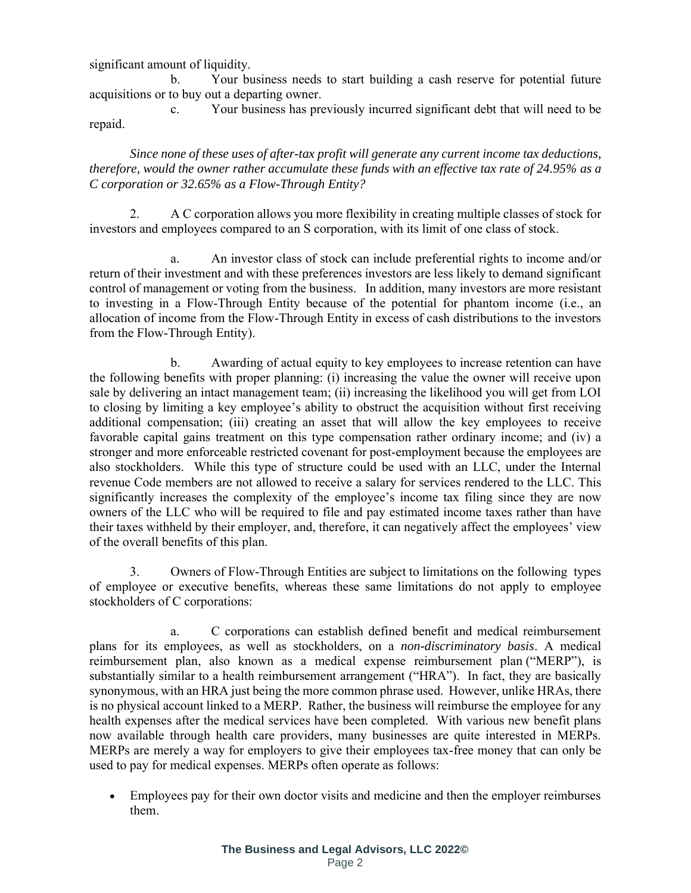significant amount of liquidity.

b. Your business needs to start building a cash reserve for potential future acquisitions or to buy out a departing owner.

c. Your business has previously incurred significant debt that will need to be repaid.

*Since none of these uses of after-tax profit will generate any current income tax deductions, therefore, would the owner rather accumulate these funds with an effective tax rate of 24.95% as a C corporation or 32.65% as a Flow-Through Entity?*

2. A C corporation allows you more flexibility in creating multiple classes of stock for investors and employees compared to an S corporation, with its limit of one class of stock.

a. An investor class of stock can include preferential rights to income and/or return of their investment and with these preferences investors are less likely to demand significant control of management or voting from the business. In addition, many investors are more resistant to investing in a Flow-Through Entity because of the potential for phantom income (i.e., an allocation of income from the Flow-Through Entity in excess of cash distributions to the investors from the Flow-Through Entity).

b. Awarding of actual equity to key employees to increase retention can have the following benefits with proper planning: (i) increasing the value the owner will receive upon sale by delivering an intact management team; (ii) increasing the likelihood you will get from LOI to closing by limiting a key employee's ability to obstruct the acquisition without first receiving additional compensation; (iii) creating an asset that will allow the key employees to receive favorable capital gains treatment on this type compensation rather ordinary income; and (iv) a stronger and more enforceable restricted covenant for post-employment because the employees are also stockholders. While this type of structure could be used with an LLC, under the Internal revenue Code members are not allowed to receive a salary for services rendered to the LLC. This significantly increases the complexity of the employee's income tax filing since they are now owners of the LLC who will be required to file and pay estimated income taxes rather than have their taxes withheld by their employer, and, therefore, it can negatively affect the employees' view of the overall benefits of this plan.

3. Owners of Flow-Through Entities are subject to limitations on the following types of employee or executive benefits, whereas these same limitations do not apply to employee stockholders of C corporations:

a. C corporations can establish defined benefit and medical reimbursement plans for its employees, as well as stockholders, on a *non-discriminatory basis*. A medical reimbursement plan, also known as a medical expense reimbursement plan ("MERP"), is substantially similar to a health reimbursement arrangement ("HRA"). In fact, they are basically synonymous, with an HRA just being the more common phrase used. However, unlike HRAs, there is no physical account linked to a MERP. Rather, the business will reimburse the employee for any health expenses after the medical services have been completed. With various new benefit plans now available through health care providers, many businesses are quite interested in MERPs. MERPs are merely a way for employers to give their employees tax-free money that can only be used to pay for medical expenses. MERPs often operate as follows:

• Employees pay for their own doctor visits and medicine and then the employer reimburses them.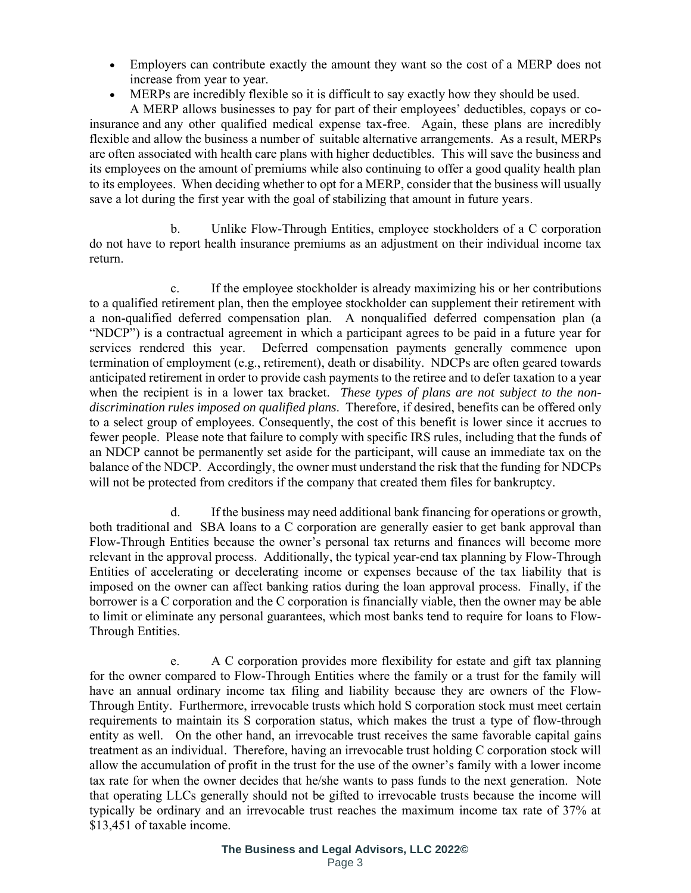- Employers can contribute exactly the amount they want so the cost of a MERP does not increase from year to year.
- [MERPs](https://bdsadmin.com/employer/medical-expense-reimbursement-plan-merp/) are incredibly flexible so it is difficult to say exactly how they should be used.

A MERP allows businesses to pay for part of their employees' [deductibles, copays or co](https://www.upcounsel.com/minimum-essential-coverage)[insurance](https://www.upcounsel.com/minimum-essential-coverage) and any other qualified medical expense tax-free. Again, these plans are incredibly flexible and allow the business a number of suitable alternative arrangements. As a result, MERPs are often associated with health care plans with higher deductibles. This will save the business and its employees on the amount of premiums while also continuing to offer a good quality health plan to its employees. When deciding whether to opt for a MERP, consider that the business will usually save a lot during the first year with the goal of stabilizing that amount in future years.

b. Unlike Flow-Through Entities, employee stockholders of a C corporation do not have to report health insurance premiums as an adjustment on their individual income tax return.

c. If the employee stockholder is already maximizing his or her contributions to a qualified retirement plan, then the employee stockholder can supplement their retirement with a non-qualified deferred compensation plan. A nonqualified deferred compensation plan (a "NDCP") is a contractual agreement in which a participant agrees to be paid in a future year for services rendered this year. Deferred compensation payments generally commence upon termination of employment (e.g., retirement), death or disability. NDCPs are often geared towards anticipated retirement in order to provide cash payments to the retiree and to defer taxation to a year when the recipient is in a lower tax bracket. *These types of plans are not subject to the nondiscrimination rules imposed on qualified plans*. Therefore, if desired, benefits can be offered only to a select group of employees. Consequently, the cost of this benefit is lower since it accrues to fewer people. Please note that failure to comply with specific IRS rules, including that the funds of an NDCP cannot be permanently set aside for the participant, will cause an immediate tax on the balance of the NDCP. Accordingly, the owner must understand the risk that the funding for NDCPs will not be protected from creditors if the company that created them files for bankruptcy.

d. If the business may need additional bank financing for operations or growth, both traditional and SBA loans to a C corporation are generally easier to get bank approval than Flow-Through Entities because the owner's personal tax returns and finances will become more relevant in the approval process. Additionally, the typical year-end tax planning by Flow-Through Entities of accelerating or decelerating income or expenses because of the tax liability that is imposed on the owner can affect banking ratios during the loan approval process. Finally, if the borrower is a C corporation and the C corporation is financially viable, then the owner may be able to limit or eliminate any personal guarantees, which most banks tend to require for loans to Flow-Through Entities.

e. A C corporation provides more flexibility for estate and gift tax planning for the owner compared to Flow-Through Entities where the family or a trust for the family will have an annual ordinary income tax filing and liability because they are owners of the Flow-Through Entity. Furthermore, irrevocable trusts which hold S corporation stock must meet certain requirements to maintain its S corporation status, which makes the trust a type of flow-through entity as well. On the other hand, an irrevocable trust receives the same favorable capital gains treatment as an individual. Therefore, having an irrevocable trust holding C corporation stock will allow the accumulation of profit in the trust for the use of the owner's family with a lower income tax rate for when the owner decides that he/she wants to pass funds to the next generation. Note that operating LLCs generally should not be gifted to irrevocable trusts because the income will typically be ordinary and an irrevocable trust reaches the maximum income tax rate of 37% at \$13,451 of taxable income.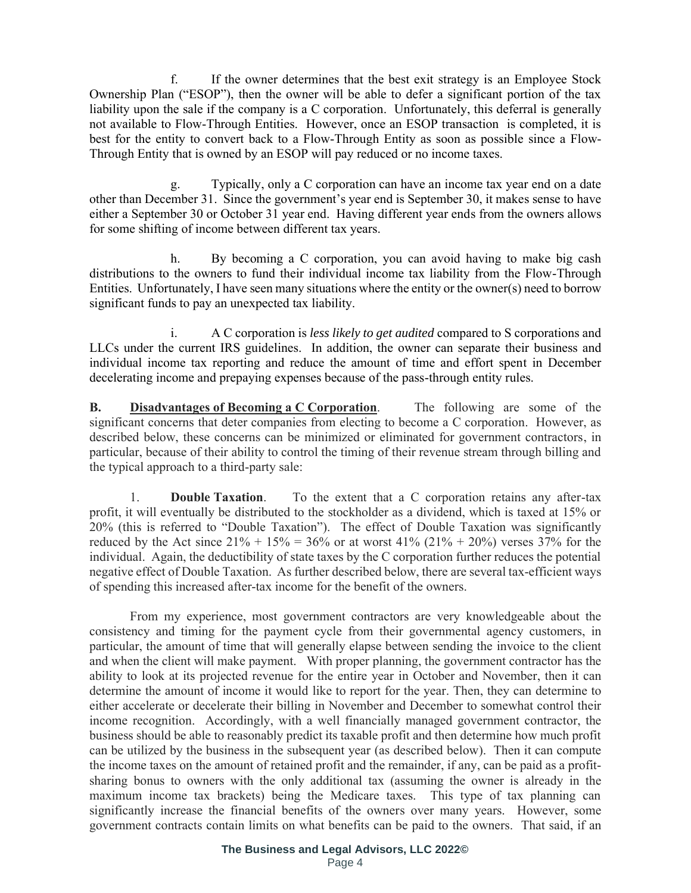f. If the owner determines that the best exit strategy is an Employee Stock Ownership Plan ("ESOP"), then the owner will be able to defer a significant portion of the tax liability upon the sale if the company is a C corporation. Unfortunately, this deferral is generally not available to Flow-Through Entities. However, once an ESOP transaction is completed, it is best for the entity to convert back to a Flow-Through Entity as soon as possible since a Flow-Through Entity that is owned by an ESOP will pay reduced or no income taxes.

Typically, only a C corporation can have an income tax year end on a date other than December 31. Since the government's year end is September 30, it makes sense to have either a September 30 or October 31 year end. Having different year ends from the owners allows for some shifting of income between different tax years.

h. By becoming a C corporation, you can avoid having to make big cash distributions to the owners to fund their individual income tax liability from the Flow-Through Entities. Unfortunately, I have seen many situations where the entity or the owner(s) need to borrow significant funds to pay an unexpected tax liability.

i. A C corporation is *less likely to get audited* compared to S corporations and LLCs under the current IRS guidelines. In addition, the owner can separate their business and individual income tax reporting and reduce the amount of time and effort spent in December decelerating income and prepaying expenses because of the pass-through entity rules.

**B. Disadvantages of Becoming a C Corporation**. The following are some of the significant concerns that deter companies from electing to become a C corporation. However, as described below, these concerns can be minimized or eliminated for government contractors, in particular, because of their ability to control the timing of their revenue stream through billing and the typical approach to a third-party sale:

1. **Double Taxation**. To the extent that a C corporation retains any after-tax profit, it will eventually be distributed to the stockholder as a dividend, which is taxed at 15% or 20% (this is referred to "Double Taxation"). The effect of Double Taxation was significantly reduced by the Act since  $21\% + 15\% = 36\%$  or at worst  $41\%$  ( $21\% + 20\%$ ) verses 37% for the individual. Again, the deductibility of state taxes by the C corporation further reduces the potential negative effect of Double Taxation. As further described below, there are several tax-efficient ways of spending this increased after-tax income for the benefit of the owners.

From my experience, most government contractors are very knowledgeable about the consistency and timing for the payment cycle from their governmental agency customers, in particular, the amount of time that will generally elapse between sending the invoice to the client and when the client will make payment. With proper planning, the government contractor has the ability to look at its projected revenue for the entire year in October and November, then it can determine the amount of income it would like to report for the year. Then, they can determine to either accelerate or decelerate their billing in November and December to somewhat control their income recognition. Accordingly, with a well financially managed government contractor, the business should be able to reasonably predict its taxable profit and then determine how much profit can be utilized by the business in the subsequent year (as described below). Then it can compute the income taxes on the amount of retained profit and the remainder, if any, can be paid as a profitsharing bonus to owners with the only additional tax (assuming the owner is already in the maximum income tax brackets) being the Medicare taxes. This type of tax planning can significantly increase the financial benefits of the owners over many years. However, some government contracts contain limits on what benefits can be paid to the owners. That said, if an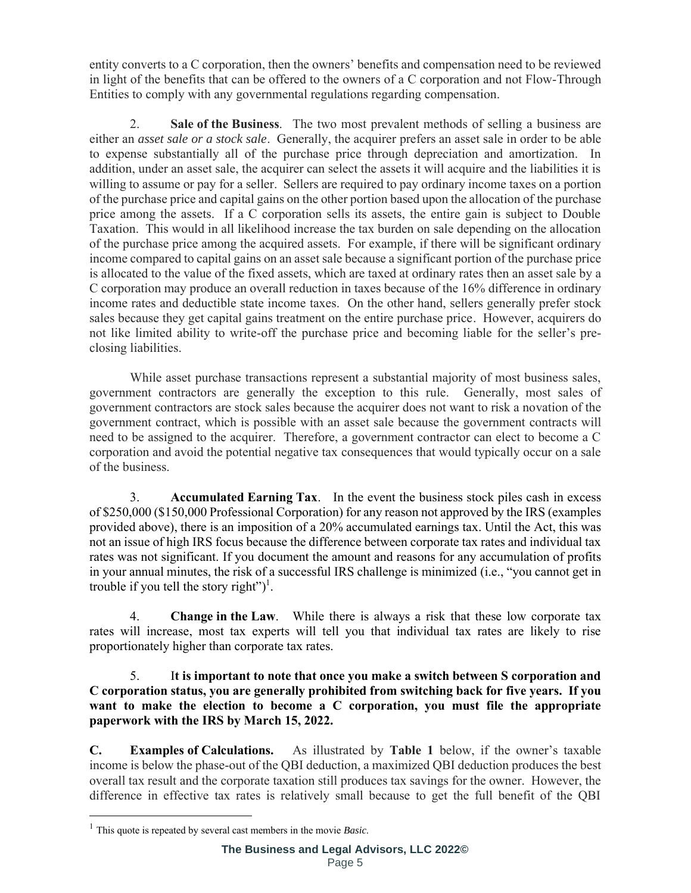entity converts to a C corporation, then the owners' benefits and compensation need to be reviewed in light of the benefits that can be offered to the owners of a C corporation and not Flow-Through Entities to comply with any governmental regulations regarding compensation.

2. **Sale of the Business**. The two most prevalent methods of selling a business are either an *asset sale or a stock sale*. Generally, the acquirer prefers an asset sale in order to be able to expense substantially all of the purchase price through depreciation and amortization. In addition, under an asset sale, the acquirer can select the assets it will acquire and the liabilities it is willing to assume or pay for a seller. Sellers are required to pay ordinary income taxes on a portion of the purchase price and capital gains on the other portion based upon the allocation of the purchase price among the assets. If a C corporation sells its assets, the entire gain is subject to Double Taxation. This would in all likelihood increase the tax burden on sale depending on the allocation of the purchase price among the acquired assets. For example, if there will be significant ordinary income compared to capital gains on an asset sale because a significant portion of the purchase price is allocated to the value of the fixed assets, which are taxed at ordinary rates then an asset sale by a C corporation may produce an overall reduction in taxes because of the 16% difference in ordinary income rates and deductible state income taxes. On the other hand, sellers generally prefer stock sales because they get capital gains treatment on the entire purchase price. However, acquirers do not like limited ability to write-off the purchase price and becoming liable for the seller's preclosing liabilities.

While asset purchase transactions represent a substantial majority of most business sales, government contractors are generally the exception to this rule. Generally, most sales of government contractors are stock sales because the acquirer does not want to risk a novation of the government contract, which is possible with an asset sale because the government contracts will need to be assigned to the acquirer. Therefore, a government contractor can elect to become a C corporation and avoid the potential negative tax consequences that would typically occur on a sale of the business.

3. **Accumulated Earning Tax**. In the event the business stock piles cash in excess of \$250,000 (\$150,000 Professional Corporation) for any reason not approved by the IRS (examples provided above), there is an imposition of a 20% accumulated earnings tax. Until the Act, this was not an issue of high IRS focus because the difference between corporate tax rates and individual tax rates was not significant. If you document the amount and reasons for any accumulation of profits in your annual minutes, the risk of a successful IRS challenge is minimized (i.e., "you cannot get in trouble if you tell the story right")<sup>1</sup>.

4. **Change in the Law**. While there is always a risk that these low corporate tax rates will increase, most tax experts will tell you that individual tax rates are likely to rise proportionately higher than corporate tax rates.

5. I**t is important to note that once you make a switch between S corporation and C corporation status, you are generally prohibited from switching back for five years. If you want to make the election to become a C corporation, you must file the appropriate paperwork with the IRS by March 15, 2022.**

**C. Examples of Calculations.** As illustrated by **Table 1** below, if the owner's taxable income is below the phase-out of the QBI deduction, a maximized QBI deduction produces the best overall tax result and the corporate taxation still produces tax savings for the owner. However, the difference in effective tax rates is relatively small because to get the full benefit of the QBI

<sup>1</sup> This quote is repeated by several cast members in the movie *Basic*.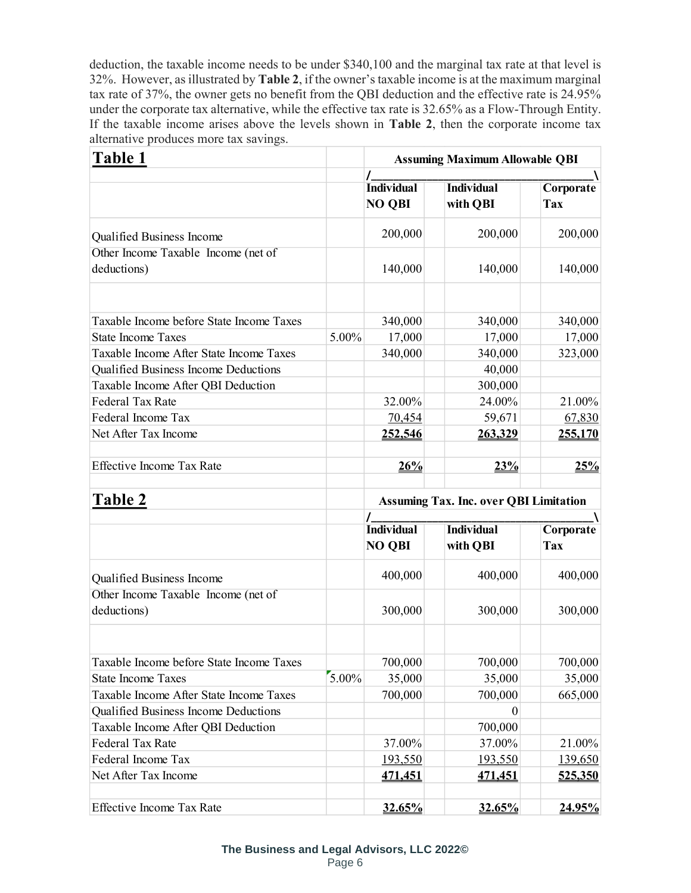deduction, the taxable income needs to be under \$340,100 and the marginal tax rate at that level is 32%. However, as illustrated by **Table 2**, if the owner's taxable income is at the maximum marginal tax rate of 37%, the owner gets no benefit from the QBI deduction and the effective rate is 24.95% under the corporate tax alternative, while the effective tax rate is 32.65% as a Flow-Through Entity. If the taxable income arises above the levels shown in **Table 2**, then the corporate income tax alternative produces more tax savings.

| Table 1                                                                    |       | <b>Assuming Maximum Allowable QBI</b>         |                               |                         |
|----------------------------------------------------------------------------|-------|-----------------------------------------------|-------------------------------|-------------------------|
|                                                                            |       | <b>Individual</b><br><b>NO QBI</b>            | <b>Individual</b><br>with QBI | Corporate<br>Tax        |
| Qualified Business Income                                                  |       | 200,000                                       | 200,000                       | 200,000                 |
| Other Income Taxable Income (net of                                        |       |                                               |                               |                         |
| deductions)                                                                |       | 140,000                                       | 140,000                       | 140,000                 |
| Taxable Income before State Income Taxes                                   |       | 340,000                                       | 340,000                       | 340,000                 |
| <b>State Income Taxes</b>                                                  | 5.00% | 17,000                                        | 17,000                        | 17,000                  |
| Taxable Income After State Income Taxes                                    |       | 340,000                                       | 340,000                       | 323,000                 |
| Qualified Business Income Deductions                                       |       |                                               | 40,000                        |                         |
| Taxable Income After QBI Deduction                                         |       |                                               | 300,000                       |                         |
| <b>Federal Tax Rate</b>                                                    |       | 32.00%                                        | 24.00%                        | 21.00%                  |
| Federal Income Tax                                                         |       | 70,454                                        | 59,671                        | 67,830                  |
| Net After Tax Income                                                       |       | 252,546                                       | 263,329                       | 255,170                 |
| <b>Effective Income Tax Rate</b>                                           |       | 26%                                           | 23%                           | 25%                     |
| <b>Table 2</b>                                                             |       | <b>Assuming Tax. Inc. over QBI Limitation</b> |                               |                         |
|                                                                            |       |                                               |                               |                         |
|                                                                            |       | <b>Individual</b><br><b>NO QBI</b>            | <b>Individual</b><br>with QBI | Corporate<br><b>Tax</b> |
| Qualified Business Income                                                  |       | 400,000                                       | 400,000                       | 400,000                 |
| Other Income Taxable Income (net of                                        |       |                                               |                               |                         |
| deductions)                                                                |       | 300,000                                       | 300,000                       | 300,000                 |
|                                                                            |       |                                               |                               |                         |
| Taxable Income before State Income Taxes                                   |       | 700,000                                       | 700,000                       | 700,000                 |
| <b>State Income Taxes</b>                                                  | 5.00% | 35,000                                        | 35,000                        | 35,000                  |
| Taxable Income After State Income Taxes                                    |       | 700,000                                       | 700,000                       | 665,000                 |
| Qualified Business Income Deductions<br>Taxable Income After QBI Deduction |       |                                               | $\theta$<br>700,000           |                         |
| <b>Federal Tax Rate</b>                                                    |       | 37.00%                                        | 37.00%                        | 21.00%                  |
| Federal Income Tax                                                         |       | <u>193,550</u>                                |                               | 139,650                 |
| Net After Tax Income                                                       |       | <u>471,451</u>                                | 193,550<br><u>471,451</u>     | 525,350                 |
| <b>Effective Income Tax Rate</b>                                           |       | 32.65%                                        | 32.65%                        | 24.95%                  |